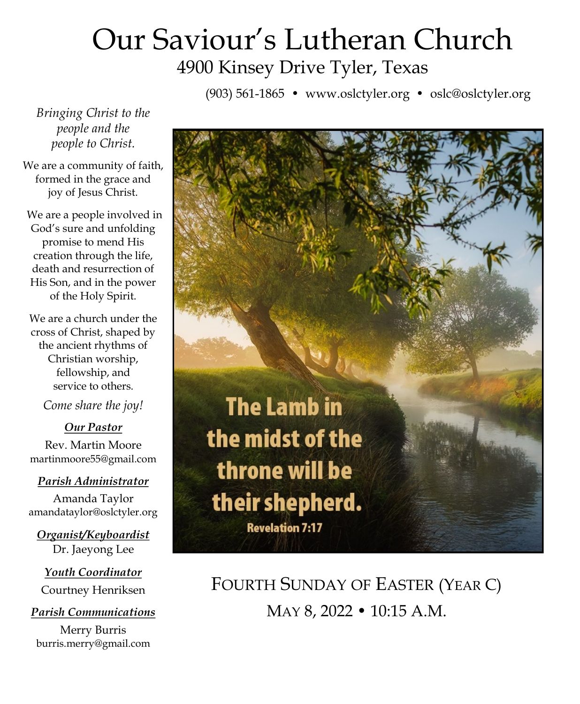# Our Saviour's Lutheran Church 4900 Kinsey Drive Tyler, Texas

(903) 561-1865 • www.oslctyler.org • oslc@oslctyler.org

*Bringing Christ to the people and the people to Christ.*

We are a community of faith, formed in the grace and joy of Jesus Christ.

We are a people involved in God's sure and unfolding promise to mend His creation through the life, death and resurrection of His Son, and in the power of the Holy Spirit.

We are a church under the cross of Christ, shaped by the ancient rhythms of Christian worship, fellowship, and service to others.

*Come share the joy!*

#### *Our Pastor*

Rev. Martin Moore martinmoore55@gmail.com

#### *Parish Administrator*

Amanda Taylor amandataylor@oslctyler.org

*Organist/Keyboardist* Dr. Jaeyong Lee

*Youth Coordinator* Courtney Henriksen

#### *Parish Communications*

Merry Burris burris.merry@gmail.com



FOURTH SUNDAY OF EASTER (YEAR C) MAY 8, 2022 • 10:15 A.M.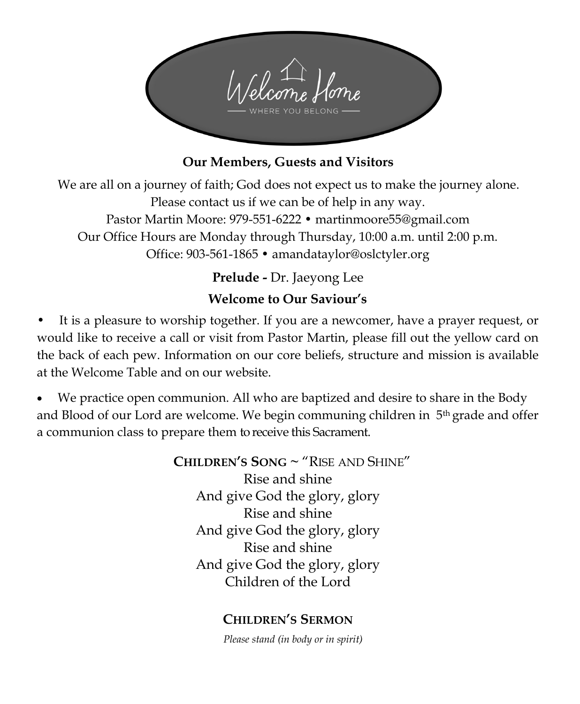

#### **Our Members, Guests and Visitors**

We are all on a journey of faith; God does not expect us to make the journey alone. Please contact us if we can be of help in any way. Pastor Martin Moore: 979-551-6222 • martinmoore55@gmail.com Our Office Hours are Monday through Thursday, 10:00 a.m. until 2:00 p.m. Office: 903-561-1865 • amandataylor@oslctyler.org

**Prelude -** Dr. Jaeyong Lee

### **Welcome to Our Saviour's**

It is a pleasure to worship together. If you are a newcomer, have a prayer request, or would like to receive a call or visit from Pastor Martin, please fill out the yellow card on the back of each pew. Information on our core beliefs, structure and mission is available at the Welcome Table and on our website.

• We practice open communion. All who are baptized and desire to share in the Body and Blood of our Lord are welcome. We begin communing children in 5th grade and offer a communion class to prepare them to receive this Sacrament.

> **CHILDREN'S SONG ~** "RISE AND SHINE" Rise and shine And give God the glory, glory Rise and shine And give God the glory, glory Rise and shine And give God the glory, glory Children of the Lord

#### **CHILDREN'S SERMON**

*Please stand (in body or in spirit)*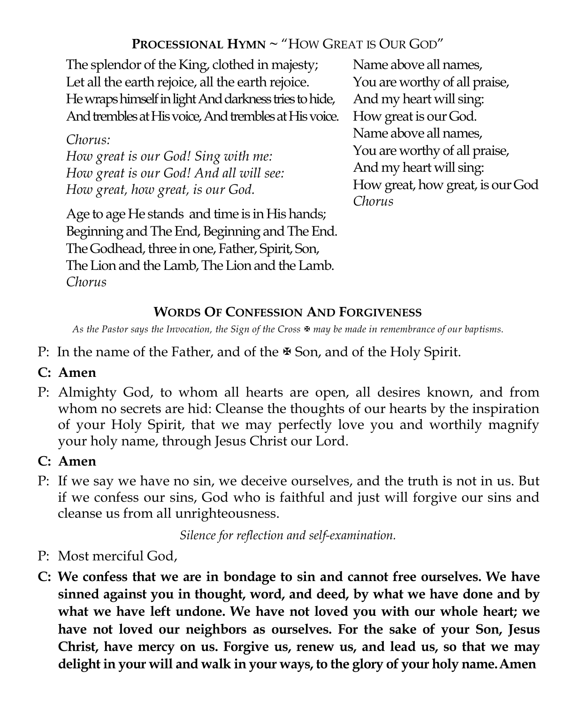### **PROCESSIONAL HYMN ~** "HOW GREAT IS OUR GOD"

The splendor of the King, clothed in majesty; Let all the earth rejoice, all the earth rejoice. He wraps himself in light And darkness tries to hide, And trembles at His voice, And trembles at His voice.

#### *Chorus: How great is our God! Sing with me: How great is our God! And all will see: How great, how great, is our God.*

Age to age He stands and time is in His hands; Beginning and The End, Beginning and The End. The Godhead, three in one, Father, Spirit, Son, The Lion and the Lamb, The Lion and the Lamb. *Chorus*

Name above all names, You are worthy of all praise, And my heart will sing: How great is our God. Name above all names, You are worthy of all praise, And my heart will sing: How great, how great, is our God *Chorus*

# **WORDS OF CONFESSION AND FORGIVENESS**

*As the Pastor says the Invocation, the Sign of the Cross may be made in remembrance of our baptisms.* 

P: In the name of the Father, and of the  $\mathbb F$  Son, and of the Holy Spirit.

# **C: Amen**

P: Almighty God, to whom all hearts are open, all desires known, and from whom no secrets are hid: Cleanse the thoughts of our hearts by the inspiration of your Holy Spirit, that we may perfectly love you and worthily magnify your holy name, through Jesus Christ our Lord.

# **C: Amen**

P: If we say we have no sin, we deceive ourselves, and the truth is not in us. But if we confess our sins, God who is faithful and just will forgive our sins and cleanse us from all unrighteousness.

*Silence for reflection and self-examination.*

- P: Most merciful God,
- **C: We confess that we are in bondage to sin and cannot free ourselves. We have sinned against you in thought, word, and deed, by what we have done and by what we have left undone. We have not loved you with our whole heart; we have not loved our neighbors as ourselves. For the sake of your Son, Jesus Christ, have mercy on us. Forgive us, renew us, and lead us, so that we may delight in your will and walk in your ways, to the glory of your holy name.Amen**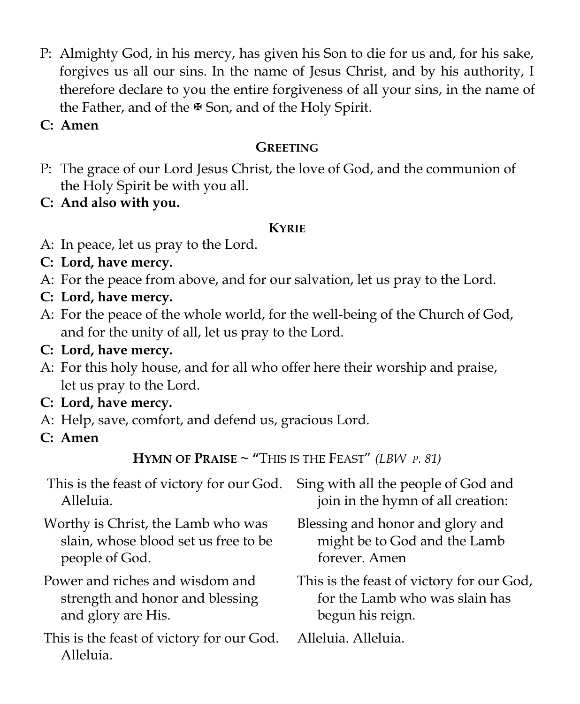- P: Almighty God, in his mercy, has given his Son to die for us and, for his sake, forgives us all our sins. In the name of Jesus Christ, and by his authority, I therefore declare to you the entire forgiveness of all your sins, in the name of the Father, and of the  $\mathbb F$  Son, and of the Holy Spirit.
- **C: Amen**

# **GREETING**

P: The grace of our Lord Jesus Christ, the love of God, and the communion of the Holy Spirit be with you all.

**C: And also with you.**

### **KYRIE**

- A: In peace, let us pray to the Lord.
- **C: Lord, have mercy.**
- A: For the peace from above, and for our salvation, let us pray to the Lord.
- **C: Lord, have mercy.**
- A: For the peace of the whole world, for the well-being of the Church of God, and for the unity of all, let us pray to the Lord.
- **C: Lord, have mercy.**
- A: For this holy house, and for all who offer here their worship and praise, let us pray to the Lord.
- **C: Lord, have mercy.**
- A: Help, save, comfort, and defend us, gracious Lord.
- **C: Amen**

**HYMN OF PRAISE**  $\sim$  "This is the Feast" *(LBW p. 81)* 

| This is the feast of victory for our God.              | Sing with all the people of God and       |
|--------------------------------------------------------|-------------------------------------------|
| Alleluia.                                              | join in the hymn of all creation:         |
| Worthy is Christ, the Lamb who was                     | Blessing and honor and glory and          |
| slain, whose blood set us free to be                   | might be to God and the Lamb              |
| people of God.                                         | forever. Amen                             |
| Power and riches and wisdom and                        | This is the feast of victory for our God, |
| strength and honor and blessing                        | for the Lamb who was slain has            |
| and glory are His.                                     | begun his reign.                          |
| This is the feast of victory for our God.<br>Alleluia. | Alleluia. Alleluia.                       |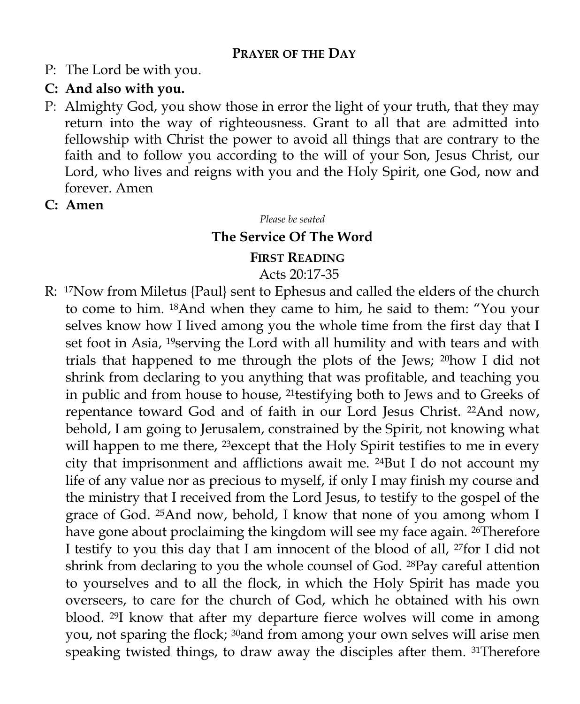#### **PRAYER OF THE DAY**

P: The Lord be with you.

#### **C: And also with you.**

P: Almighty God, you show those in error the light of your truth, that they may return into the way of righteousness. Grant to all that are admitted into fellowship with Christ the power to avoid all things that are contrary to the faith and to follow you according to the will of your Son, Jesus Christ, our Lord, who lives and reigns with you and the Holy Spirit, one God, now and forever. Amen

#### **C: Amen**

*Please be seated*

#### **The Service Of The Word**

#### **FIRST READING**

#### Acts 20:17-35

R: 17Now from Miletus {Paul} sent to Ephesus and called the elders of the church to come to him. 18And when they came to him, he said to them: "You your selves know how I lived among you the whole time from the first day that I set foot in Asia, <sup>19</sup>serving the Lord with all humility and with tears and with trials that happened to me through the plots of the Jews; 20how I did not shrink from declaring to you anything that was profitable, and teaching you in public and from house to house, 21testifying both to Jews and to Greeks of repentance toward God and of faith in our Lord Jesus Christ. 22And now, behold, I am going to Jerusalem, constrained by the Spirit, not knowing what will happen to me there, <sup>23</sup> except that the Holy Spirit testifies to me in every city that imprisonment and afflictions await me. 24But I do not account my life of any value nor as precious to myself, if only I may finish my course and the ministry that I received from the Lord Jesus, to testify to the gospel of the grace of God. 25And now, behold, I know that none of you among whom I have gone about proclaiming the kingdom will see my face again. <sup>26</sup>Therefore I testify to you this day that I am innocent of the blood of all, 27for I did not shrink from declaring to you the whole counsel of God. 28Pay careful attention to yourselves and to all the flock, in which the Holy Spirit has made you overseers, to care for the church of God, which he obtained with his own blood. 29I know that after my departure fierce wolves will come in among you, not sparing the flock; 30and from among your own selves will arise men speaking twisted things, to draw away the disciples after them. 31Therefore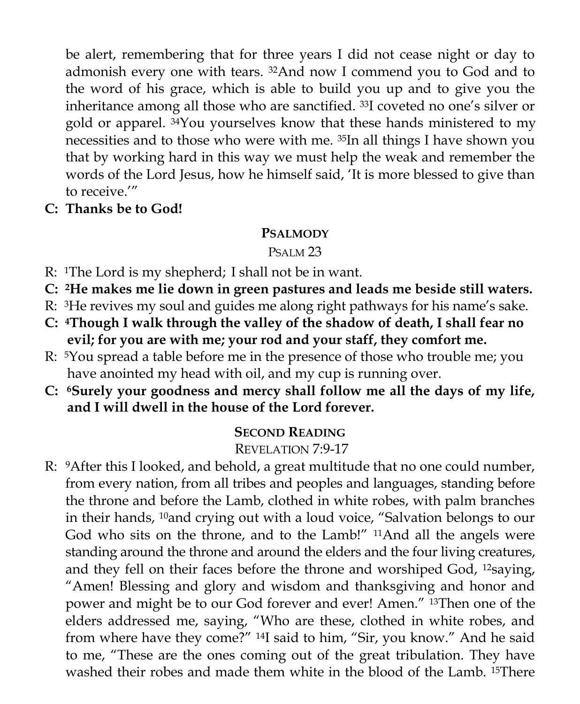be alert, remembering that for three years I did not cease night or day to admonish every one with tears. 32And now I commend you to God and to the word of his grace, which is able to build you up and to give you the inheritance among all those who are sanctified. 33I coveted no one's silver or gold or apparel. 34You yourselves know that these hands ministered to my necessities and to those who were with me. 35In all things I have shown you that by working hard in this way we must help the weak and remember the words of the Lord Jesus, how he himself said, 'It is more blessed to give than to receive<sup>"</sup>

**C: Thanks be to God!**

#### **PSALMODY**

### PSALM 23

- R: 1The Lord is my shepherd; I shall not be in want.
- **C: 2He makes me lie down in green pastures and leads me beside still waters.**
- R: 3He revives my soul and guides me along right pathways for his name's sake.
- **C: 4Though I walk through the valley of the shadow of death, I shall fear no evil; for you are with me; your rod and your staff, they comfort me.**
- R: 5You spread a table before me in the presence of those who trouble me; you have anointed my head with oil, and my cup is running over.
- **C: 6Surely your goodness and mercy shall follow me all the days of my life, and I will dwell in the house of the Lord forever.**

### **SECOND READING**

### REVELATION 7:9-17

R: <sup>9</sup>After this I looked, and behold, a great multitude that no one could number, from every nation, from all tribes and peoples and languages, standing before the throne and before the Lamb, clothed in white robes, with palm branches in their hands, <sup>10</sup>and crying out with a loud voice, "Salvation belongs to our God who sits on the throne, and to the Lamb!" 11And all the angels were standing around the throne and around the elders and the four living creatures, and they fell on their faces before the throne and worshiped God, <sup>12</sup>saying, "Amen! Blessing and glory and wisdom and thanksgiving and honor and power and might be to our God forever and ever! Amen." 13Then one of the elders addressed me, saying, "Who are these, clothed in white robes, and from where have they come?" 14I said to him, "Sir, you know." And he said to me, "These are the ones coming out of the great tribulation. They have washed their robes and made them white in the blood of the Lamb. 15There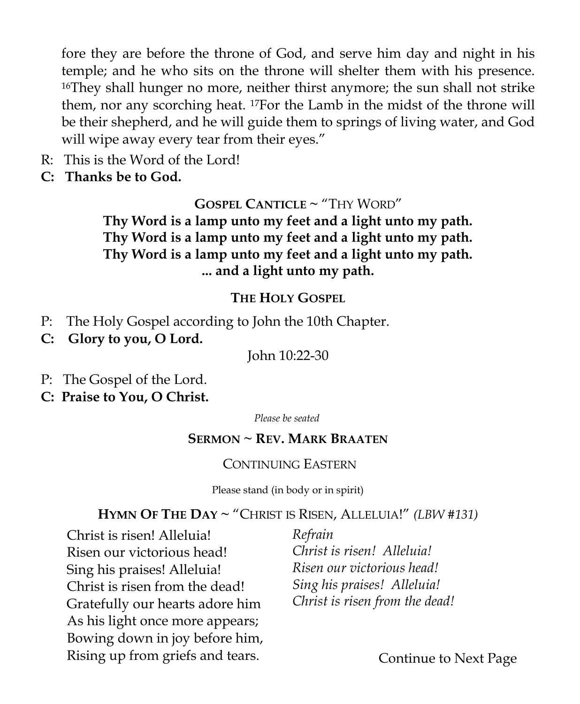fore they are before the throne of God, and serve him day and night in his temple; and he who sits on the throne will shelter them with his presence. <sup>16</sup>They shall hunger no more, neither thirst anymore; the sun shall not strike them, nor any scorching heat. 17For the Lamb in the midst of the throne will be their shepherd, and he will guide them to springs of living water, and God will wipe away every tear from their eyes."

- R: This is the Word of the Lord!
- **C: Thanks be to God.**

### **GOSPEL CANTICLE ~** "THY WORD"

**Thy Word is a lamp unto my feet and a light unto my path. Thy Word is a lamp unto my feet and a light unto my path. Thy Word is a lamp unto my feet and a light unto my path. ... and a light unto my path.**

#### **THE HOLY GOSPEL**

- P: The Holy Gospel according to John the 10th Chapter.
- **C: Glory to you, O Lord.**

John 10:22-30

- P: The Gospel of the Lord.
- **C: Praise to You, O Christ.**

*Please be seated*

#### **SERMON ~ REV. MARK BRAATEN**

#### CONTINUING EASTERN

Please stand (in body or in spirit)

#### **HYMN OF THE DAY ~** "CHRIST IS RISEN, ALLELUIA!" *(LBW #131)*

Christ is risen! Alleluia! Risen our victorious head! Sing his praises! Alleluia! Christ is risen from the dead! Gratefully our hearts adore him As his light once more appears; Bowing down in joy before him, Rising up from griefs and tears.

*Refrain Christ is risen! Alleluia! Risen our victorious head! Sing his praises! Alleluia! Christ is risen from the dead!*

Continue to Next Page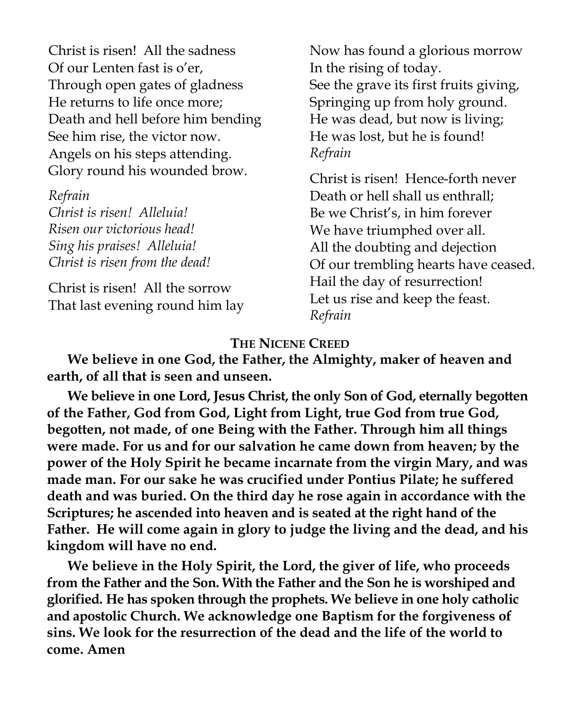Christ is risen! All the sadness Of our Lenten fast is o'er, Through open gates of gladness He returns to life once more; Death and hell before him bending See him rise, the victor now. Angels on his steps attending. Glory round his wounded brow.

*Refrain Christ is risen! Alleluia! Risen our victorious head! Sing his praises! Alleluia! Christ is risen from the dead!*

Christ is risen! All the sorrow That last evening round him lay Now has found a glorious morrow In the rising of today. See the grave its first fruits giving, Springing up from holy ground. He was dead, but now is living; He was lost, but he is found! *Refrain*

Christ is risen! Hence-forth never Death or hell shall us enthrall; Be we Christ's, in him forever We have triumphed over all. All the doubting and dejection Of our trembling hearts have ceased. Hail the day of resurrection! Let us rise and keep the feast. *Refrain*

#### **THE NICENE CREED**

**We believe in one God, the Father, the Almighty, maker of heaven and earth, of all that is seen and unseen.**

**We believe in one Lord, Jesus Christ, the only Son of God, eternally begotten of the Father, God from God, Light from Light, true God from true God, begotten, not made, of one Being with the Father. Through him all things were made. For us and for our salvation he came down from heaven; by the power of the Holy Spirit he became incarnate from the virgin Mary, and was made man. For our sake he was crucified under Pontius Pilate; he suffered death and was buried. On the third day he rose again in accordance with the Scriptures; he ascended into heaven and is seated at the right hand of the Father. He will come again in glory to judge the living and the dead, and his kingdom will have no end.**

**We believe in the Holy Spirit, the Lord, the giver of life, who proceeds from the Father and the Son. With the Father and the Son he is worshiped and glorified. He has spoken through the prophets. We believe in one holy catholic and apostolic Church. We acknowledge one Baptism for the forgiveness of sins. We look for the resurrection of the dead and the life of the world to come. Amen**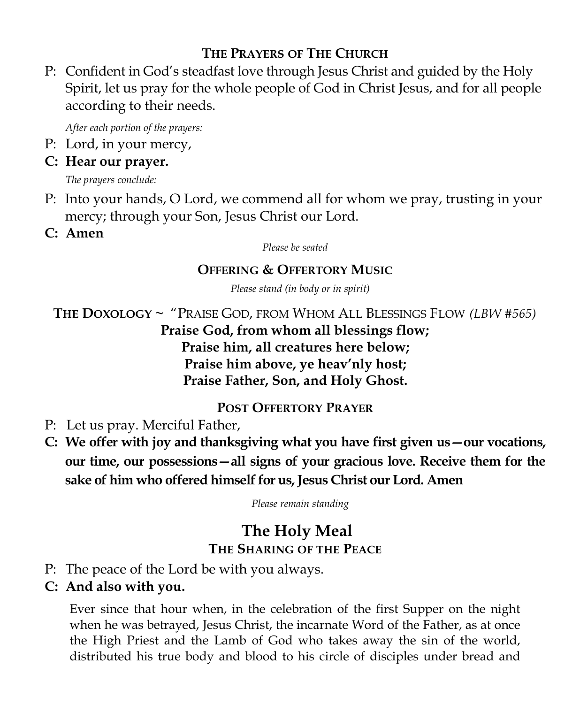### **THE PRAYERS OF THE CHURCH**

P: Confident in God's steadfast love through Jesus Christ and guided by the Holy Spirit, let us pray for the whole people of God in Christ Jesus, and for all people according to their needs.

*After each portion of the prayers:*

P: Lord, in your mercy,

### **C: Hear our prayer.**

*The prayers conclude:*

- P: Into your hands, O Lord, we commend all for whom we pray, trusting in your mercy; through your Son, Jesus Christ our Lord.
- **C: Amen**

*Please be seated*

### **OFFERING & OFFERTORY MUSIC**

*Please stand (in body or in spirit)*

**THE DOXOLOGY** *~* "PRAISE GOD, FROM WHOM ALL BLESSINGS FLOW *(LBW #565)*  **Praise God, from whom all blessings flow; Praise him, all creatures here below; Praise him above, ye heav'nly host; Praise Father, Son, and Holy Ghost.**

### **POST OFFERTORY PRAYER**

- P: Let us pray. Merciful Father,
- **C: We offer with joy and thanksgiving what you have first given us—our vocations, our time, our possessions—all signs of your gracious love. Receive them for the sake of him who offered himself for us, Jesus Christ our Lord. Amen**

*Please remain standing* 

# **The Holy Meal THE SHARING OF THE PEACE**

- P: The peace of the Lord be with you always.
- **C: And also with you.**

Ever since that hour when, in the celebration of the first Supper on the night when he was betrayed, Jesus Christ, the incarnate Word of the Father, as at once the High Priest and the Lamb of God who takes away the sin of the world, distributed his true body and blood to his circle of disciples under bread and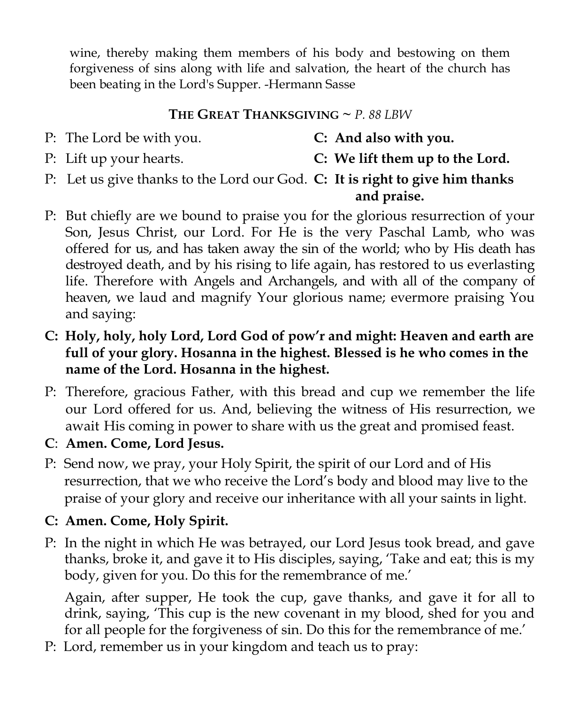wine, thereby making them members of his body and bestowing on them forgiveness of sins along with life and salvation, the heart of the church has been beating in the Lord's Supper. -Hermann Sasse

### **THE GREAT THANKSGIVING ~** *P. 88 LBW*

- P: The Lord be with you. **C: And also with you.**
	-

- 
- P: Lift up your hearts. **C: We lift them up to the Lord.**
- P: Let us give thanks to the Lord our God. **C: It is right to give him thanks and praise.**
- P: But chiefly are we bound to praise you for the glorious resurrection of your Son, Jesus Christ, our Lord. For He is the very Paschal Lamb, who was offered for us, and has taken away the sin of the world; who by His death has destroyed death, and by his rising to life again, has restored to us everlasting life. Therefore with Angels and Archangels, and with all of the company of heaven, we laud and magnify Your glorious name; evermore praising You and saying:
- **C: Holy, holy, holy Lord, Lord God of pow'r and might: Heaven and earth are full of your glory. Hosanna in the highest. Blessed is he who comes in the name of the Lord. Hosanna in the highest.**
- P: Therefore, gracious Father, with this bread and cup we remember the life our Lord offered for us. And, believing the witness of His resurrection, we await His coming in power to share with us the great and promised feast.
- **C**: **Amen. Come, Lord Jesus.**
- P: Send now, we pray, your Holy Spirit, the spirit of our Lord and of His resurrection, that we who receive the Lord's body and blood may live to the praise of your glory and receive our inheritance with all your saints in light.
- **C: Amen. Come, Holy Spirit.**
- P: In the night in which He was betrayed, our Lord Jesus took bread, and gave thanks, broke it, and gave it to His disciples, saying, 'Take and eat; this is my body, given for you. Do this for the remembrance of me.'

Again, after supper, He took the cup, gave thanks, and gave it for all to drink, saying, 'This cup is the new covenant in my blood, shed for you and for all people for the forgiveness of sin. Do this for the remembrance of me.'

P: Lord, remember us in your kingdom and teach us to pray: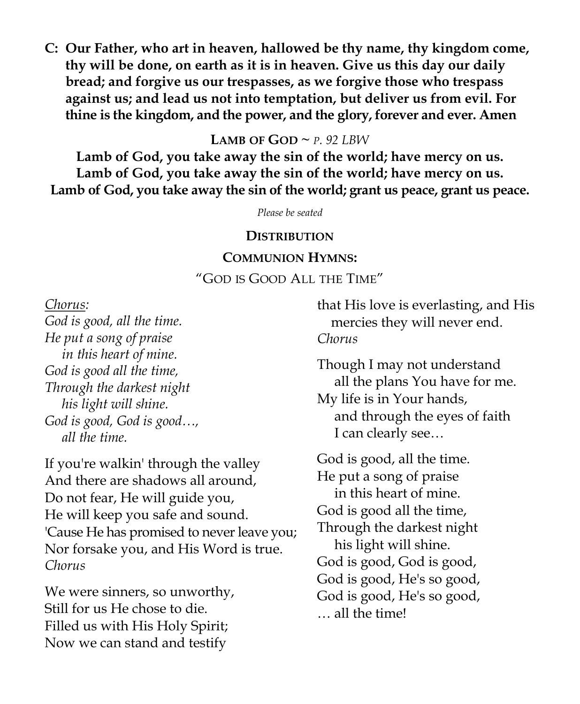**C: Our Father, who art in heaven, hallowed be thy name, thy kingdom come, thy will be done, on earth as it is in heaven. Give us this day our daily bread; and forgive us our trespasses, as we forgive those who trespass against us; and lead us not into temptation, but deliver us from evil. For thine is the kingdom, and the power, and the glory, forever and ever. Amen**

#### **LAMB** OF  $GOD \sim P$ *, 92 LBW*

**Lamb of God, you take away the sin of the world; have mercy on us. Lamb of God, you take away the sin of the world; have mercy on us. Lamb of God, you take away the sin of the world; grant us peace, grant us peace.**

*Please be seated*

#### **DISTRIBUTION**

#### **COMMUNION HYMNS:**

"GOD IS GOOD ALL THE TIME"

*Chorus:*

*God is good, all the time. He put a song of praise in this heart of mine. God is good all the time, Through the darkest night his light will shine. God is good, God is good…, all the time.*

If you're walkin' through the valley And there are shadows all around, Do not fear, He will guide you, He will keep you safe and sound. 'Cause He has promised to never leave you; Nor forsake you, and His Word is true. *Chorus*

We were sinners, so unworthy, Still for us He chose to die. Filled us with His Holy Spirit; Now we can stand and testify

that His love is everlasting, and His mercies they will never end. *Chorus*

Though I may not understand all the plans You have for me. My life is in Your hands, and through the eyes of faith I can clearly see…

God is good, all the time. He put a song of praise in this heart of mine. God is good all the time, Through the darkest night his light will shine. God is good, God is good, God is good, He's so good, God is good, He's so good, … all the time!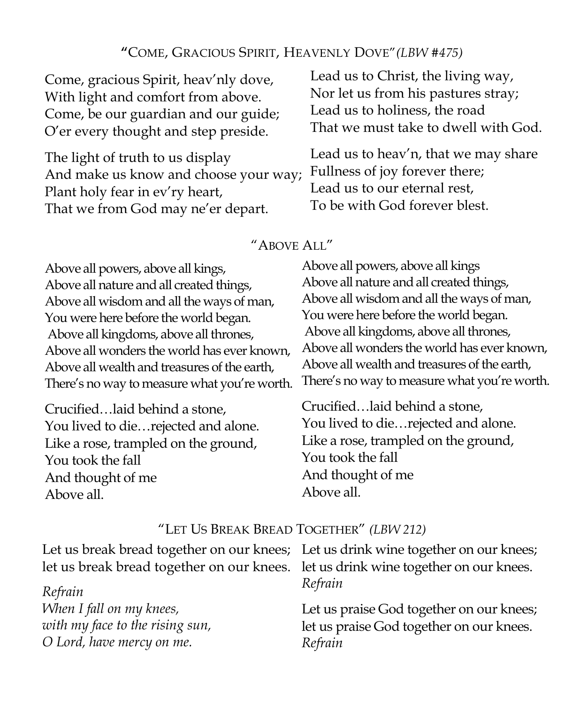#### **"**COME, GRACIOUS SPIRIT, HEAVENLY DOVE"*(LBW #475)*

Come, gracious Spirit, heav'nly dove, With light and comfort from above. Come, be our guardian and our guide; O'er every thought and step preside.

The light of truth to us display And make us know and choose your way; Plant holy fear in ev'ry heart, That we from God may ne'er depart.

Lead us to Christ, the living way, Nor let us from his pastures stray; Lead us to holiness, the road That we must take to dwell with God.

Lead us to heav'n, that we may share Fullness of joy forever there; Lead us to our eternal rest, To be with God forever blest.

#### "ABOVE ALL"

Above all powers, above all kings, Above all nature and all created things, Above all wisdom and all the ways of man, You were here before the world began. Above all kingdoms, above all thrones, Above all wonders the world has ever known, Above all wealth and treasures of the earth, There's no way to measure what you're worth.

Crucified…laid behind a stone, You lived to die…rejected and alone. Like a rose, trampled on the ground, You took the fall And thought of me Above all.

Above all powers, above all kings Above all nature and all created things, Above all wisdom and all the ways of man, You were here before the world began. Above all kingdoms, above all thrones, Above all wonders the world has ever known, Above all wealth and treasures of the earth, There's no way to measure what you're worth.

Crucified…laid behind a stone, You lived to die…rejected and alone. Like a rose, trampled on the ground, You took the fall And thought of me Above all.

#### "LET US BREAK BREAD TOGETHER" *(LBW 212)*

| Let us break bread together on our knees; Let us drink wine together on our knees; |                                          |
|------------------------------------------------------------------------------------|------------------------------------------|
| let us break bread together on our knees. let us drink wine together on our knees. |                                          |
| Refrain                                                                            | Refrain                                  |
| When I fall on my knees,                                                           | Let us praise God together on our knees; |
| with my face to the rising sun,                                                    | let us praise God together on our knees. |
| O Lord, have mercy on me.                                                          | Refrain                                  |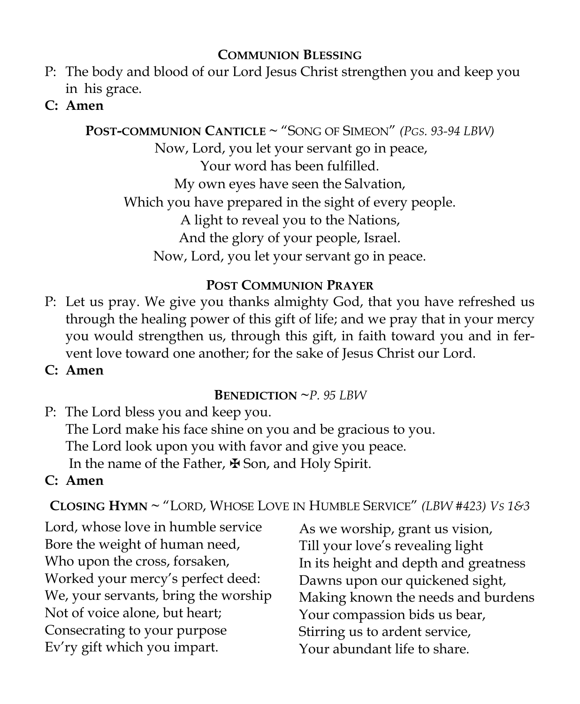### **COMMUNION BLESSING**

- P: The body and blood of our Lord Jesus Christ strengthen you and keep you in his grace.
- **C: Amen**

**POST-COMMUNION CANTICLE ~** "SONG OF SIMEON" *(PGS. 93-94 LBW)*  Now, Lord, you let your servant go in peace, Your word has been fulfilled. My own eyes have seen the Salvation, Which you have prepared in the sight of every people. A light to reveal you to the Nations, And the glory of your people, Israel. Now, Lord, you let your servant go in peace.

### **POST COMMUNION PRAYER**

- P: Let us pray. We give you thanks almighty God, that you have refreshed us through the healing power of this gift of life; and we pray that in your mercy you would strengthen us, through this gift, in faith toward you and in fervent love toward one another; for the sake of Jesus Christ our Lord.
- **C: Amen**

### **BENEDICTION ~***P. 95 LBW*

P: The Lord bless you and keep you. The Lord make his face shine on you and be gracious to you. The Lord look upon you with favor and give you peace. In the name of the Father, ✠ Son, and Holy Spirit.

# **C: Amen**

**CLOSING HYMN ~** "LORD, WHOSE LOVE IN HUMBLE SERVICE" *(LBW #423) VS 1&3* 

Lord, whose love in humble service Bore the weight of human need, Who upon the cross, forsaken, Worked your mercy's perfect deed: We, your servants, bring the worship Not of voice alone, but heart; Consecrating to your purpose Ev'ry gift which you impart.

As we worship, grant us vision, Till your love's revealing light In its height and depth and greatness Dawns upon our quickened sight, Making known the needs and burdens Your compassion bids us bear, Stirring us to ardent service, Your abundant life to share.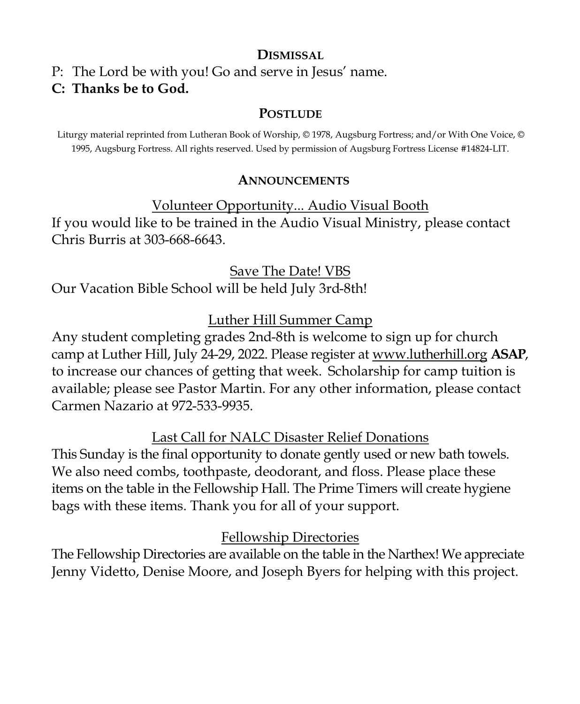#### **DISMISSAL**

P: The Lord be with you! Go and serve in Jesus' name.

### **C: Thanks be to God.**

#### **POSTLUDE**

Liturgy material reprinted from Lutheran Book of Worship, © 1978, Augsburg Fortress; and/or With One Voice, © 1995, Augsburg Fortress. All rights reserved. Used by permission of Augsburg Fortress License #14824-LIT.

#### **ANNOUNCEMENTS**

Volunteer Opportunity... Audio Visual Booth If you would like to be trained in the Audio Visual Ministry, please contact Chris Burris at 303-668-6643.

Save The Date! VBS

Our Vacation Bible School will be held July 3rd-8th!

# Luther Hill Summer Camp

Any student completing grades 2nd-8th is welcome to sign up for church camp at Luther Hill, July 24-29, 2022. Please register at [www.lutherhill.org](http://www.luterhill.org) **ASAP**, to increase our chances of getting that week. Scholarship for camp tuition is available; please see Pastor Martin. For any other information, please contact Carmen Nazario at 972-533-9935.

Last Call for NALC Disaster Relief Donations

This Sunday is the final opportunity to donate gently used or new bath towels. We also need combs, toothpaste, deodorant, and floss. Please place these items on the table in the Fellowship Hall. The Prime Timers will create hygiene bags with these items. Thank you for all of your support.

### Fellowship Directories

The Fellowship Directories are available on the table in the Narthex! We appreciate Jenny Videtto, Denise Moore, and Joseph Byers for helping with this project.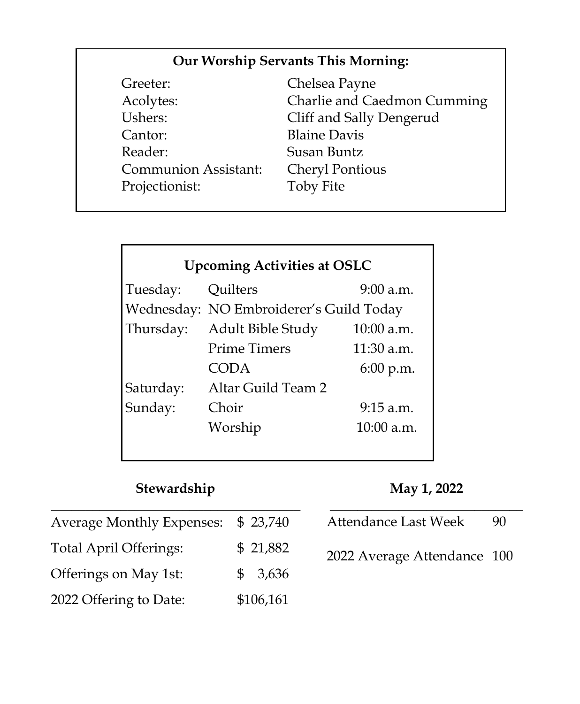### **Our Worship Servants This Morning:**

| Greeter:                    | Chel  |
|-----------------------------|-------|
| Acolytes:                   | Chai  |
| Ushers:                     | Cliff |
| Cantor:                     | Blair |
| Reader:                     | Susa  |
| <b>Communion Assistant:</b> | Chei  |
| Projectionist:              | Toby  |
|                             |       |

lsea Payne rlie and Caedmon Cumming and Sally Dengerud ne Davis an Buntz ryl Pontious y Fite

# **Upcoming Activities at OSLC**

| Tuesday:  | Quilters                                | $9:00$ a.m.  |  |
|-----------|-----------------------------------------|--------------|--|
|           | Wednesday: NO Embroiderer's Guild Today |              |  |
| Thursday: | Adult Bible Study                       | $10:00$ a.m. |  |
|           | <b>Prime Timers</b>                     | 11:30 a.m.   |  |
|           | CODA                                    | 6:00 p.m.    |  |
| Saturday: | Altar Guild Team 2                      |              |  |
| Sunday:   | Choir                                   | $9:15$ a.m.  |  |
|           | Worship                                 | $10:00$ a.m. |  |
|           |                                         |              |  |

#### **Stewardship**

**May 1, 2022**

| <b>Average Monthly Expenses:</b> | \$23,740  | Attendance Last Week        | 90 |
|----------------------------------|-----------|-----------------------------|----|
| <b>Total April Offerings:</b>    | \$21,882  | 2022 Average Attendance 100 |    |
| Offerings on May 1st:            | \$3,636   |                             |    |
| 2022 Offering to Date:           | \$106,161 |                             |    |